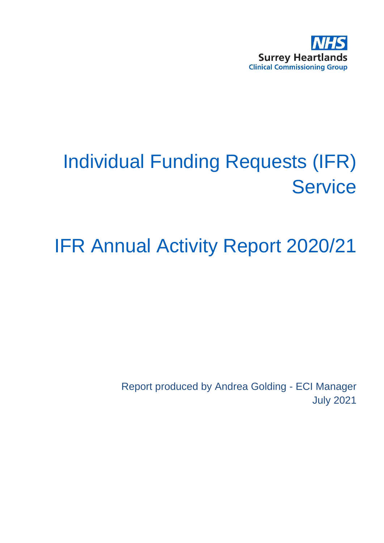

# Individual Funding Requests (IFR) **Service**

## IFR Annual Activity Report 2020/21

Report produced by Andrea Golding - ECI Manager July 2021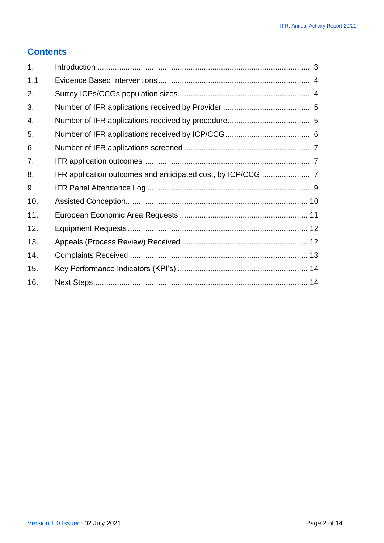#### **Contents**

| 1.  |  |
|-----|--|
| 1.1 |  |
| 2.  |  |
| 3.  |  |
| 4.  |  |
| 5.  |  |
| 6.  |  |
| 7.  |  |
| 8.  |  |
| 9.  |  |
| 10. |  |
| 11. |  |
| 12. |  |
| 13. |  |
| 14. |  |
| 15. |  |
| 16. |  |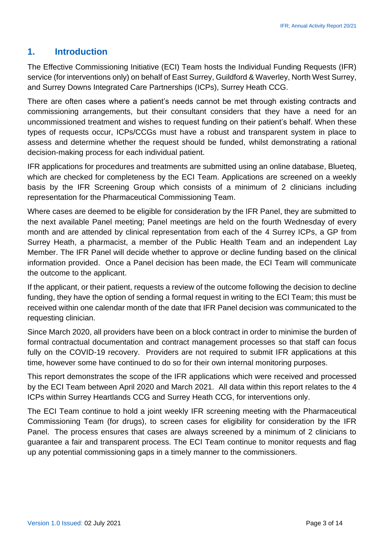#### <span id="page-2-0"></span>**1. Introduction**

The Effective Commissioning Initiative (ECI) Team hosts the Individual Funding Requests (IFR) service (for interventions only) on behalf of East Surrey, Guildford & Waverley, North West Surrey, and Surrey Downs Integrated Care Partnerships (ICPs), Surrey Heath CCG.

There are often cases where a patient's needs cannot be met through existing contracts and commissioning arrangements, but their consultant considers that they have a need for an uncommissioned treatment and wishes to request funding on their patient's behalf. When these types of requests occur, ICPs/CCGs must have a robust and transparent system in place to assess and determine whether the request should be funded, whilst demonstrating a rational decision-making process for each individual patient.

IFR applications for procedures and treatments are submitted using an online database, Blueteq, which are checked for completeness by the ECI Team. Applications are screened on a weekly basis by the IFR Screening Group which consists of a minimum of 2 clinicians including representation for the Pharmaceutical Commissioning Team.

Where cases are deemed to be eligible for consideration by the IFR Panel, they are submitted to the next available Panel meeting; Panel meetings are held on the fourth Wednesday of every month and are attended by clinical representation from each of the 4 Surrey ICPs, a GP from Surrey Heath, a pharmacist, a member of the Public Health Team and an independent Lay Member. The IFR Panel will decide whether to approve or decline funding based on the clinical information provided. Once a Panel decision has been made, the ECI Team will communicate the outcome to the applicant.

If the applicant, or their patient, requests a review of the outcome following the decision to decline funding, they have the option of sending a formal request in writing to the ECI Team; this must be received within one calendar month of the date that IFR Panel decision was communicated to the requesting clinician.

Since March 2020, all providers have been on a block contract in order to minimise the burden of formal contractual documentation and contract management processes so that staff can focus fully on the COVID-19 recovery. Providers are not required to submit IFR applications at this time, however some have continued to do so for their own internal monitoring purposes.

This report demonstrates the scope of the IFR applications which were received and processed by the ECI Team between April 2020 and March 2021. All data within this report relates to the 4 ICPs within Surrey Heartlands CCG and Surrey Heath CCG, for interventions only.

The ECI Team continue to hold a joint weekly IFR screening meeting with the Pharmaceutical Commissioning Team (for drugs), to screen cases for eligibility for consideration by the IFR Panel. The process ensures that cases are always screened by a minimum of 2 clinicians to guarantee a fair and transparent process. The ECI Team continue to monitor requests and flag up any potential commissioning gaps in a timely manner to the commissioners.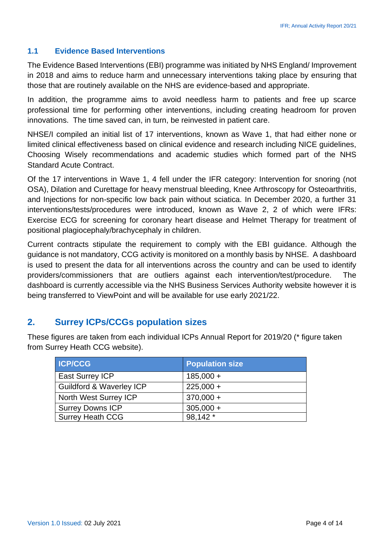#### <span id="page-3-0"></span>**1.1 Evidence Based Interventions**

The Evidence Based Interventions (EBI) programme was initiated by NHS England/ Improvement in 2018 and aims to reduce harm and unnecessary interventions taking place by ensuring that those that are routinely available on the NHS are evidence-based and appropriate.

In addition, the programme aims to avoid needless harm to patients and free up scarce professional time for performing other interventions, including creating headroom for proven innovations. The time saved can, in turn, be reinvested in patient care.

NHSE/I compiled an initial list of 17 interventions, known as Wave 1, that had either none or limited clinical effectiveness based on clinical evidence and research including NICE guidelines, Choosing Wisely recommendations and academic studies which formed part of the NHS Standard Acute Contract.

Of the 17 interventions in Wave 1, 4 fell under the IFR category: Intervention for snoring (not OSA), Dilation and Curettage for heavy menstrual bleeding, Knee Arthroscopy for Osteoarthritis, and Injections for non-specific low back pain without sciatica. In December 2020, a further 31 interventions/tests/procedures were introduced, known as Wave 2, 2 of which were IFRs: Exercise ECG for screening for coronary heart disease and Helmet Therapy for treatment of positional plagiocephaly/brachycephaly in children.

Current contracts stipulate the requirement to comply with the EBI guidance. Although the guidance is not mandatory, CCG activity is monitored on a monthly basis by NHSE. A dashboard is used to present the data for all interventions across the country and can be used to identify providers/commissioners that are outliers against each intervention/test/procedure. The dashboard is currently accessible via the NHS Business Services Authority website however it is being transferred to ViewPoint and will be available for use early 2021/22.

#### <span id="page-3-1"></span>**2. Surrey ICPs/CCGs population sizes**

These figures are taken from each individual ICPs Annual Report for 2019/20 (\* figure taken from Surrey Heath CCG website).

| <b>ICP/CCG</b>                      | <b>Population size</b> |
|-------------------------------------|------------------------|
| East Surrey ICP                     | $185,000 +$            |
| <b>Guildford &amp; Waverley ICP</b> | $225,000 +$            |
| North West Surrey ICP               | $370,000 +$            |
| <b>Surrey Downs ICP</b>             | $305,000 +$            |
| <b>Surrey Heath CCG</b>             | 98,142 *               |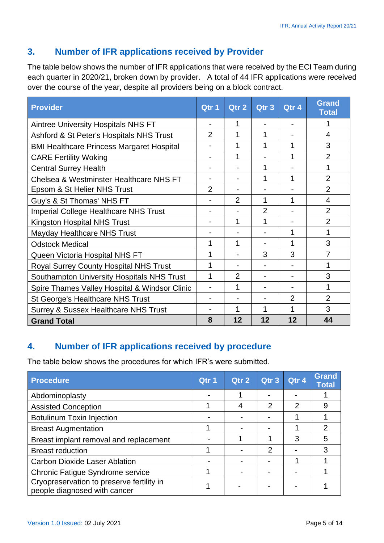#### <span id="page-4-0"></span>**3. Number of IFR applications received by Provider**

The table below shows the number of IFR applications that were received by the ECI Team during each quarter in 2020/21, broken down by provider. A total of 44 IFR applications were received over the course of the year, despite all providers being on a block contract.

| <b>Provider</b>                                  | Qtr 1          | Qtr 2          | Qtr <sub>3</sub> | Qtr 4          | <b>Grand</b><br><b>Total</b> |
|--------------------------------------------------|----------------|----------------|------------------|----------------|------------------------------|
| <b>Aintree University Hospitals NHS FT</b>       |                | 1              |                  |                |                              |
| Ashford & St Peter's Hospitals NHS Trust         | 2              | 1              |                  |                | 4                            |
| <b>BMI Healthcare Princess Margaret Hospital</b> |                | 1              | 1                | 1              | 3                            |
| <b>CARE Fertility Woking</b>                     |                | 1              |                  | 1              | $\overline{2}$               |
| <b>Central Surrey Health</b>                     |                |                | 1                |                | 1                            |
| Chelsea & Westminster Healthcare NHS FT          |                |                | 1                | 1              | $\overline{2}$               |
| Epsom & St Helier NHS Trust                      | $\overline{2}$ |                |                  |                | $\overline{2}$               |
| Guy's & St Thomas' NHS FT                        |                | $\overline{2}$ | 1                | 1              | 4                            |
| <b>Imperial College Healthcare NHS Trust</b>     |                |                | $\overline{2}$   |                | $\overline{2}$               |
| <b>Kingston Hospital NHS Trust</b>               |                | 1              | $\mathbf 1$      |                | $\overline{2}$               |
| <b>Mayday Healthcare NHS Trust</b>               |                |                |                  | 1              | 1                            |
| <b>Odstock Medical</b>                           | 1              | 1              |                  | 1              | 3                            |
| Queen Victoria Hospital NHS FT                   | 1              |                | 3                | 3              | $\overline{7}$               |
| <b>Royal Surrey County Hospital NHS Trust</b>    | 1              |                |                  |                | 1                            |
| Southampton University Hospitals NHS Trust       | 1              | $\overline{2}$ |                  |                | 3                            |
| Spire Thames Valley Hospital & Windsor Clinic    |                | 1              |                  |                | 1                            |
| St George's Healthcare NHS Trust                 |                |                |                  | $\overline{2}$ | $\overline{2}$               |
| <b>Surrey &amp; Sussex Healthcare NHS Trust</b>  |                | 1              |                  |                | 3                            |
| <b>Grand Total</b>                               | 8              | 12             | 12               | 12             | 44                           |

## <span id="page-4-1"></span>**4. Number of IFR applications received by procedure**

The table below shows the procedures for which IFR's were submitted.

| <b>Procedure</b>                                                          | Qtr 1 | Qtr 2 | Qtr 3 | Qtr 4          | <b>Grand</b><br><b>Total</b> |
|---------------------------------------------------------------------------|-------|-------|-------|----------------|------------------------------|
| Abdominoplasty                                                            |       |       |       |                |                              |
| <b>Assisted Conception</b>                                                |       | 4     | 2     | $\overline{2}$ | 9                            |
| <b>Botulinum Toxin Injection</b>                                          |       |       |       |                |                              |
| <b>Breast Augmentation</b>                                                |       |       |       |                | 2                            |
| Breast implant removal and replacement                                    |       |       |       | 3              | 5                            |
| <b>Breast reduction</b>                                                   |       |       | 2     |                | 3                            |
| <b>Carbon Dioxide Laser Ablation</b>                                      |       |       |       |                |                              |
| Chronic Fatigue Syndrome service                                          |       |       |       |                |                              |
| Cryopreservation to preserve fertility in<br>people diagnosed with cancer |       |       |       |                |                              |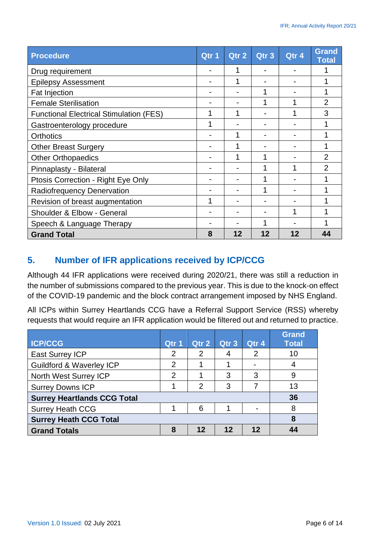| <b>Procedure</b>                               | Qtr 1 | Qtr 2 | Qtr <sub>3</sub> | Qtr 4 | <b>Grand</b><br><b>Total</b> |
|------------------------------------------------|-------|-------|------------------|-------|------------------------------|
| Drug requirement                               |       |       |                  |       |                              |
| <b>Epilepsy Assessment</b>                     |       |       |                  |       |                              |
| <b>Fat Injection</b>                           |       |       |                  |       |                              |
| <b>Female Sterilisation</b>                    |       |       |                  |       | $\overline{2}$               |
| <b>Functional Electrical Stimulation (FES)</b> |       |       |                  |       | 3                            |
| Gastroenterology procedure                     |       |       |                  |       |                              |
| <b>Orthotics</b>                               |       |       |                  |       |                              |
| <b>Other Breast Surgery</b>                    |       |       |                  |       |                              |
| <b>Other Orthopaedics</b>                      |       | 1     |                  |       | $\overline{2}$               |
| Pinnaplasty - Bilateral                        |       |       | 1                |       | $\mathfrak{p}$               |
| Ptosis Correction - Right Eye Only             |       |       |                  |       |                              |
| Radiofrequency Denervation                     |       |       |                  |       |                              |
| Revision of breast augmentation                | 1     |       |                  |       |                              |
| Shoulder & Elbow - General                     |       |       |                  |       |                              |
| Speech & Language Therapy                      |       |       |                  |       |                              |
| <b>Grand Total</b>                             | 8     | 12    | 12               | 12    | 44                           |

#### <span id="page-5-0"></span>**5. Number of IFR applications received by ICP/CCG**

Although 44 IFR applications were received during 2020/21, there was still a reduction in the number of submissions compared to the previous year. This is due to the knock-on effect of the COVID-19 pandemic and the block contract arrangement imposed by NHS England.

All ICPs within Surrey Heartlands CCG have a Referral Support Service (RSS) whereby requests that would require an IFR application would be filtered out and returned to practice.

| <b>ICP/CCG</b>                      | Qtr 1          | Qtr 2          | Qtr <sub>3</sub> | Qtr 4 | <b>Grand</b><br><b>Total</b> |
|-------------------------------------|----------------|----------------|------------------|-------|------------------------------|
|                                     |                |                |                  |       |                              |
| <b>East Surrey ICP</b>              | 2              | 2              |                  | 2     | 10                           |
| <b>Guildford &amp; Waverley ICP</b> | $\overline{2}$ |                |                  |       |                              |
| North West Surrey ICP               | $\overline{2}$ |                | 3                | 3     | 9                            |
| <b>Surrey Downs ICP</b>             |                | $\overline{2}$ | 3                |       | 13                           |
| <b>Surrey Heartlands CCG Total</b>  | 36             |                |                  |       |                              |
| <b>Surrey Heath CCG</b>             |                | 6              |                  |       | 8                            |
| <b>Surrey Heath CCG Total</b>       |                |                |                  |       | 8                            |
| <b>Grand Totals</b>                 | 8              | 12             | 12               | 12    | Δ4                           |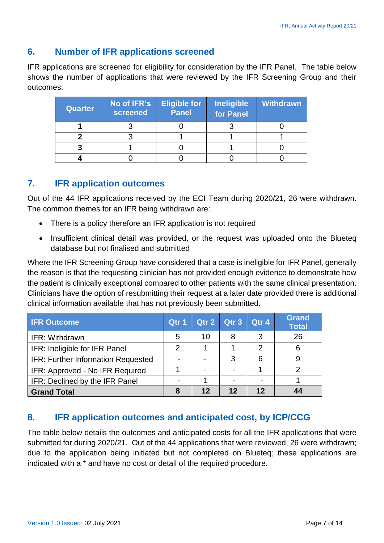#### <span id="page-6-0"></span>**6. Number of IFR applications screened**

IFR applications are screened for eligibility for consideration by the IFR Panel. The table below shows the number of applications that were reviewed by the IFR Screening Group and their outcomes.

| <b>Quarter</b> | No of IFR's<br>screened | <b>Eligible for</b><br><b>Panel</b> | <b>Ineligible</b><br>for Panel | Withdrawn |
|----------------|-------------------------|-------------------------------------|--------------------------------|-----------|
|                |                         |                                     |                                |           |
|                |                         |                                     |                                |           |
|                |                         |                                     |                                |           |
|                |                         |                                     |                                |           |

#### <span id="page-6-1"></span>**7. IFR application outcomes**

Out of the 44 IFR applications received by the ECI Team during 2020/21, 26 were withdrawn. The common themes for an IFR being withdrawn are:

- There is a policy therefore an IFR application is not required
- Insufficient clinical detail was provided, or the request was uploaded onto the Blueteq database but not finalised and submitted

Where the IFR Screening Group have considered that a case is ineligible for IFR Panel, generally the reason is that the requesting clinician has not provided enough evidence to demonstrate how the patient is clinically exceptional compared to other patients with the same clinical presentation. Clinicians have the option of resubmitting their request at a later date provided there is additional clinical information available that has not previously been submitted.

| <b>IFR Outcome</b>                        | Qtr 1 | Qtr 2 Qtr 3 |    | Qtr 4 | <b>Grand</b><br><b>Total</b> |
|-------------------------------------------|-------|-------------|----|-------|------------------------------|
| IFR: Withdrawn                            | 5     | 10          | 8  | 3     | 26                           |
| IFR: Ineligible for IFR Panel             | 2     |             |    | 2     | 6                            |
| <b>IFR: Further Information Requested</b> |       |             | 3  |       |                              |
| IFR: Approved - No IFR Required           |       |             |    |       |                              |
| IFR: Declined by the IFR Panel            |       |             |    |       |                              |
| <b>Grand Total</b>                        |       | 12          | 12 | 12    |                              |

## <span id="page-6-2"></span>**8. IFR application outcomes and anticipated cost, by ICP/CCG**

The table below details the outcomes and anticipated costs for all the IFR applications that were submitted for during 2020/21. Out of the 44 applications that were reviewed, 26 were withdrawn; due to the application being initiated but not completed on Blueteq; these applications are indicated with a \* and have no cost or detail of the required procedure.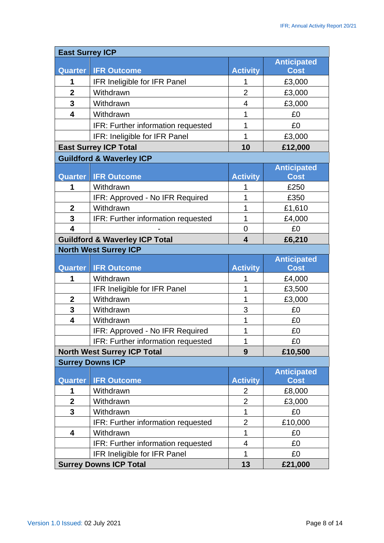| <b>East Surrey ICP</b>       |                                                               |                 |                    |
|------------------------------|---------------------------------------------------------------|-----------------|--------------------|
|                              |                                                               |                 | <b>Anticipated</b> |
| <b>Quarter</b>               | <b>IFR Outcome</b>                                            | <b>Activity</b> | <b>Cost</b>        |
| 1                            | IFR Ineligible for IFR Panel                                  | 1               | £3,000             |
| $\overline{2}$               | Withdrawn                                                     | $\overline{2}$  | £3,000             |
| 3                            | Withdrawn                                                     | 4               | £3,000             |
| $\overline{\mathbf{4}}$      | Withdrawn                                                     | 1               | £0                 |
|                              | IFR: Further information requested                            | 1               | £0                 |
|                              | IFR: Ineligible for IFR Panel                                 | 1               | £3,000             |
|                              | <b>East Surrey ICP Total</b>                                  | 10              | £12,000            |
|                              | <b>Guildford &amp; Waverley ICP</b>                           |                 |                    |
|                              |                                                               |                 | <b>Anticipated</b> |
| <b>Quarter</b>               | <b>IFR Outcome</b>                                            | <b>Activity</b> | <b>Cost</b>        |
| 1                            | Withdrawn                                                     | 1               | £250               |
|                              | IFR: Approved - No IFR Required                               | 1               | £350               |
| $\boldsymbol{2}$             | Withdrawn                                                     | 1               | £1,610             |
| $\overline{\mathbf{3}}$      | IFR: Further information requested                            | 1               | £4,000             |
| $\overline{\mathbf{4}}$      |                                                               | 0               | £0                 |
|                              | <b>Guildford &amp; Waverley ICP Total</b>                     | 4               | £6,210             |
|                              | <b>North West Surrey ICP</b>                                  |                 |                    |
|                              |                                                               |                 | <b>Anticipated</b> |
| <b>Quarter</b>               | <b>IFR Outcome</b>                                            | <b>Activity</b> | <b>Cost</b>        |
| 1                            | Withdrawn                                                     | 1               | £4,000             |
|                              | IFR Ineligible for IFR Panel                                  | 1               | £3,500             |
| $\boldsymbol{2}$             | Withdrawn                                                     | 1               | £3,000             |
| 3<br>$\overline{\mathbf{4}}$ | Withdrawn                                                     | 3               | £0                 |
|                              | Withdrawn                                                     | 1               | £0                 |
|                              | IFR: Approved - No IFR Required                               | 1<br>1          | £0                 |
|                              | IFR: Further information requested                            |                 | £0                 |
|                              | <b>North West Surrey ICP Total</b><br><b>Surrey Downs ICP</b> | 9               | £10,500            |
|                              |                                                               |                 | <b>Anticipated</b> |
| <b>Quarter</b>               | <b>IFR Outcome</b>                                            | <b>Activity</b> | <b>Cost</b>        |
| 1                            | Withdrawn                                                     | 2               | £8,000             |
| $\boldsymbol{2}$             | Withdrawn                                                     | $\overline{2}$  | £3,000             |
| 3                            | Withdrawn                                                     | 1               | £0                 |
|                              | IFR: Further information requested                            | $\overline{2}$  | £10,000            |
| 4                            | Withdrawn                                                     | 1               | £0                 |
|                              | IFR: Further information requested                            | 4               | £0                 |
|                              | IFR Ineligible for IFR Panel                                  | 1               | £0                 |
|                              |                                                               |                 |                    |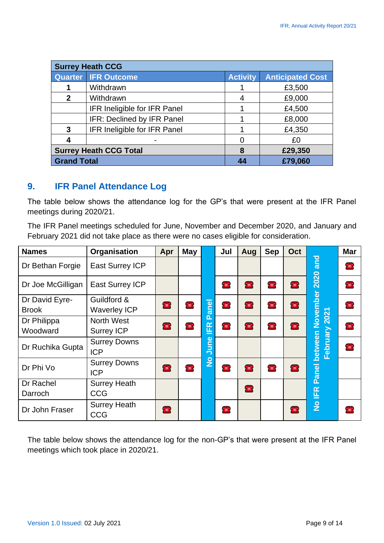| <b>Surrey Heath CCG</b>       |                              |                 |                         |  |  |  |  |  |
|-------------------------------|------------------------------|-----------------|-------------------------|--|--|--|--|--|
|                               | <b>Quarter IFR Outcome</b>   | <b>Activity</b> | <b>Anticipated Cost</b> |  |  |  |  |  |
|                               | Withdrawn                    |                 | £3,500                  |  |  |  |  |  |
| $\mathbf{2}$                  | Withdrawn                    | 4               | £9,000                  |  |  |  |  |  |
|                               | IFR Ineligible for IFR Panel |                 | £4,500                  |  |  |  |  |  |
|                               | IFR: Declined by IFR Panel   |                 | £8,000                  |  |  |  |  |  |
| 3                             | IFR Ineligible for IFR Panel |                 | £4,350                  |  |  |  |  |  |
| 4                             |                              | ∩               | £0                      |  |  |  |  |  |
| <b>Surrey Heath CCG Total</b> |                              | 8               | £29,350                 |  |  |  |  |  |
|                               | <b>Grand Total</b>           |                 | £79,060                 |  |  |  |  |  |

#### <span id="page-8-0"></span>**9. IFR Panel Attendance Log**

The table below shows the attendance log for the GP's that were present at the IFR Panel meetings during 2020/21.

The IFR Panel meetings scheduled for June, November and December 2020, and January and February 2021 did not take place as there were no cases eligible for consideration.

| <b>Names</b>      | Organisation           | Apr            | <b>May</b>     |               | Jul                         | Aug            | <b>Sep</b>     | Oct            |                                                                                                                                                              | <b>Mar</b>     |                |
|-------------------|------------------------|----------------|----------------|---------------|-----------------------------|----------------|----------------|----------------|--------------------------------------------------------------------------------------------------------------------------------------------------------------|----------------|----------------|
| Dr Bethan Forgie  | <b>East Surrey ICP</b> |                |                |               |                             |                |                |                | <b>pug</b>                                                                                                                                                   | $\blacksquare$ |                |
| Dr Joe McGilligan | East Surrey ICP        |                |                |               | <b>TEN</b>                  | $\blacksquare$ | $\blacksquare$ | $\blacksquare$ |                                                                                                                                                              | $\blacksquare$ |                |
| Dr David Eyre-    | Guildford &            |                |                |               |                             |                |                |                |                                                                                                                                                              |                |                |
| <b>Brook</b>      | <b>Waverley ICP</b>    | $\blacksquare$ | $\blacksquare$ |               | en<br>$\boldsymbol{\sigma}$ |                | $\blacksquare$ | $\blacksquare$ |                                                                                                                                                              |                | $\blacksquare$ |
| Dr Philippa       | <b>North West</b>      |                |                | Δ.            |                             |                |                |                |                                                                                                                                                              |                |                |
| Woodward          | <b>Surrey ICP</b>      | $\blacksquare$ | $\blacksquare$ | <b>IFR</b>    |                             | $\blacksquare$ | $\blacksquare$ |                |                                                                                                                                                              | $\blacksquare$ |                |
|                   | <b>Surrey Downs</b>    |                |                | ω             |                             |                |                |                |                                                                                                                                                              | $\blacksquare$ |                |
| Dr Ruchika Gupta  | <b>ICP</b>             |                |                | ni<br>Lu      |                             |                |                |                |                                                                                                                                                              |                |                |
| Dr Phi Vo         | <b>Surrey Downs</b>    |                |                | $\frac{1}{2}$ |                             |                |                |                | 2020<br>November<br>$\blacksquare$<br>February 2021<br>$\blacksquare$<br>between<br>Panel<br>$\blacksquare$<br><b>IFR</b><br>$\frac{1}{2}$<br>$\blacksquare$ |                |                |
|                   | <b>ICP</b>             | <b>Fille</b>   | <b>THE</b>     |               | <b>THE</b>                  | $\blacksquare$ |                |                |                                                                                                                                                              |                |                |
| Dr Rachel         | <b>Surrey Heath</b>    |                |                |               |                             |                |                |                |                                                                                                                                                              |                |                |
| Darroch           | <b>CCG</b>             |                |                |               |                             | $\blacksquare$ |                |                |                                                                                                                                                              |                |                |
| Dr John Fraser    | <b>Surrey Heath</b>    |                |                |               |                             |                |                |                |                                                                                                                                                              | <b>TEN</b>     |                |
|                   | <b>CCG</b>             | <b>Fille</b>   |                |               | <b>Film</b>                 |                |                |                |                                                                                                                                                              |                |                |

The table below shows the attendance log for the non-GP's that were present at the IFR Panel meetings which took place in 2020/21.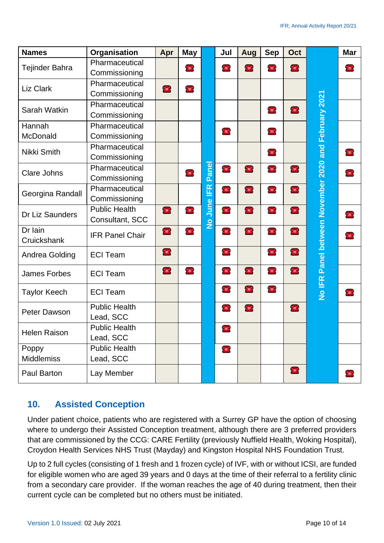| <b>Names</b>        | Organisation                      | Apr            | <b>May</b>     |               | Jul            | Aug            | <b>Sep</b>     | Oct            |                                                      | <b>Mar</b>     |
|---------------------|-----------------------------------|----------------|----------------|---------------|----------------|----------------|----------------|----------------|------------------------------------------------------|----------------|
| Tejinder Bahra      | Pharmaceutical                    |                | <b>THE R</b>   |               |                | <b>THE</b>     | <b>THE</b>     |                |                                                      | $\blacksquare$ |
|                     | Commissioning                     |                |                |               |                |                |                |                |                                                      |                |
| <b>Liz Clark</b>    | Pharmaceutical                    | $\blacksquare$ | $\blacksquare$ |               |                |                |                |                | No IFR Panel between November 2020 and February 2021 |                |
|                     | Commissioning                     |                |                |               |                |                |                |                |                                                      |                |
| Sarah Watkin        | Pharmaceutical                    |                |                |               |                |                | <b>THE V</b>   |                |                                                      |                |
|                     | Commissioning                     |                |                |               |                |                |                |                |                                                      |                |
| Hannah              | Pharmaceutical                    |                |                |               | <b>THE</b>     |                | <b>THE V</b>   |                |                                                      |                |
| McDonald            | Commissioning                     |                |                |               |                |                |                |                |                                                      |                |
| Nikki Smith         | Pharmaceutical                    |                |                |               |                |                | <b>THE V</b>   |                |                                                      | <b>TEN</b>     |
|                     | Commissioning                     |                |                |               |                |                |                |                |                                                      |                |
| <b>Clare Johns</b>  | Pharmaceutical                    |                | rin k          | <b>Panel</b>  | $\blacksquare$ | $\blacksquare$ | TIER.          | $\blacksquare$ | $\blacksquare$<br><b>Fille</b><br><b>THE</b>         |                |
|                     | Commissioning                     |                |                |               |                |                |                |                |                                                      |                |
| Georgina Randall    | Pharmaceutical                    |                |                | ER            | <b>TEN</b>     | $\blacksquare$ | <b>THE</b>     | $\blacksquare$ |                                                      |                |
|                     | Commissioning                     |                |                |               |                |                |                |                |                                                      |                |
| Dr Liz Saunders     | <b>Public Health</b>              | $\blacksquare$ | $\blacksquare$ | June          | <b>EXIS</b>    | $\blacksquare$ | $\blacksquare$ | $\blacksquare$ |                                                      | <b>Fill</b>    |
|                     | Consultant, SCC                   |                |                | $\frac{1}{2}$ |                |                |                |                |                                                      |                |
| Dr Iain             | <b>IFR Panel Chair</b>            | <b>Filling</b> | TILL S         |               | THE V          | <b>Expert</b>  | <b>THE</b>     | $\blacksquare$ |                                                      | $\blacksquare$ |
| Cruickshank         |                                   |                |                |               |                |                |                |                |                                                      |                |
| Andrea Golding      | <b>ECI Team</b>                   | $\blacksquare$ |                |               | <b>THE</b>     |                | <b>THE</b>     | $\blacksquare$ |                                                      |                |
| <b>James Forbes</b> | <b>ECI Team</b>                   | $\bullet$      | $\blacksquare$ |               | $\blacksquare$ | $\blacksquare$ | $\blacksquare$ | $\blacksquare$ |                                                      |                |
| <b>Taylor Keech</b> | <b>ECI Team</b>                   |                |                |               | <b>THE</b>     | <b>Filling</b> | <b>THE</b>     |                |                                                      | r ⊞ i          |
| Peter Dawson        | <b>Public Health</b>              |                |                |               | <b>THE</b>     | $\blacksquare$ |                | $\blacksquare$ |                                                      |                |
|                     | Lead, SCC                         |                |                |               |                |                |                |                |                                                      |                |
| <b>Helen Raison</b> | <b>Public Health</b><br>Lead, SCC |                |                |               | <b>THE</b>     |                |                |                |                                                      |                |
| Poppy               | <b>Public Health</b>              |                |                |               | $\blacksquare$ |                |                |                |                                                      |                |
| <b>Middlemiss</b>   | Lead, SCC                         |                |                |               |                |                |                |                |                                                      |                |
| <b>Paul Barton</b>  | Lay Member                        |                |                |               |                |                |                | <b>Fill</b>    |                                                      | $\mathbf{H}$   |

## <span id="page-9-0"></span>**10. Assisted Conception**

Under patient choice, patients who are registered with a Surrey GP have the option of choosing where to undergo their Assisted Conception treatment, although there are 3 preferred providers that are commissioned by the CCG: CARE Fertility (previously Nuffield Health, Woking Hospital), Croydon Health Services NHS Trust (Mayday) and Kingston Hospital NHS Foundation Trust.

Up to 2 full cycles (consisting of 1 fresh and 1 frozen cycle) of IVF, with or without ICSI, are funded for eligible women who are aged 39 years and 0 days at the time of their referral to a fertility clinic from a secondary care provider. If the woman reaches the age of 40 during treatment, then their current cycle can be completed but no others must be initiated.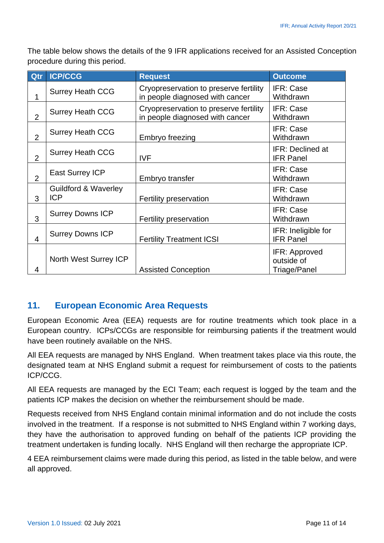The table below shows the details of the 9 IFR applications received for an Assisted Conception procedure during this period.

| Qtr            | <b>ICP/CCG</b>                                | <b>Request</b>                                                            | <b>Outcome</b>                                     |
|----------------|-----------------------------------------------|---------------------------------------------------------------------------|----------------------------------------------------|
| 1              | <b>Surrey Heath CCG</b>                       | Cryopreservation to preserve fertility<br>in people diagnosed with cancer | IFR: Case<br>Withdrawn                             |
| $\overline{2}$ | <b>Surrey Heath CCG</b>                       | Cryopreservation to preserve fertility<br>in people diagnosed with cancer | IFR: Case<br>Withdrawn                             |
| $\overline{2}$ | <b>Surrey Heath CCG</b>                       | Embryo freezing                                                           | IFR: Case<br>Withdrawn                             |
| $\overline{2}$ | <b>Surrey Heath CCG</b>                       | <b>IVF</b>                                                                | <b>IFR: Declined at</b><br><b>IFR Panel</b>        |
| $\overline{2}$ | <b>East Surrey ICP</b>                        | Embryo transfer                                                           | IFR: Case<br>Withdrawn                             |
| 3              | <b>Guildford &amp; Waverley</b><br><b>ICP</b> | Fertility preservation                                                    | IFR: Case<br>Withdrawn                             |
| 3              | <b>Surrey Downs ICP</b>                       | Fertility preservation                                                    | IFR: Case<br>Withdrawn                             |
| 4              | <b>Surrey Downs ICP</b>                       | <b>Fertility Treatment ICSI</b>                                           | IFR: Ineligible for<br><b>IFR Panel</b>            |
| 4              | North West Surrey ICP                         | <b>Assisted Conception</b>                                                | IFR: Approved<br>outside of<br><b>Triage/Panel</b> |

#### <span id="page-10-0"></span>**11. European Economic Area Requests**

European Economic Area (EEA) requests are for routine treatments which took place in a European country. ICPs/CCGs are responsible for reimbursing patients if the treatment would have been routinely available on the NHS.

All EEA requests are managed by NHS England. When treatment takes place via this route, the designated team at NHS England submit a request for reimbursement of costs to the patients ICP/CCG.

All EEA requests are managed by the ECI Team; each request is logged by the team and the patients ICP makes the decision on whether the reimbursement should be made.

Requests received from NHS England contain minimal information and do not include the costs involved in the treatment. If a response is not submitted to NHS England within 7 working days, they have the authorisation to approved funding on behalf of the patients ICP providing the treatment undertaken is funding locally. NHS England will then recharge the appropriate ICP.

4 EEA reimbursement claims were made during this period, as listed in the table below, and were all approved.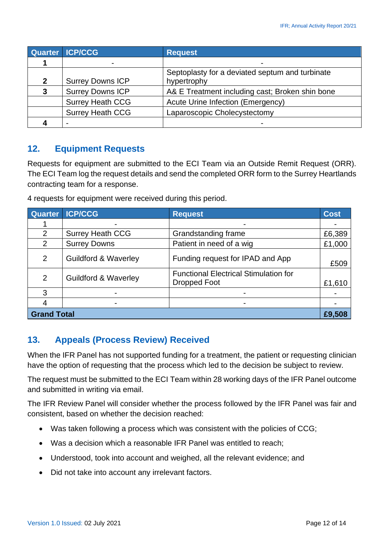|   | Quarter ICP/CCG         | <b>Request</b>                                                 |  |
|---|-------------------------|----------------------------------------------------------------|--|
|   | -                       | $\blacksquare$                                                 |  |
|   | <b>Surrey Downs ICP</b> | Septoplasty for a deviated septum and turbinate<br>hypertrophy |  |
| 3 | <b>Surrey Downs ICP</b> | A& E Treatment including cast; Broken shin bone                |  |
|   | <b>Surrey Heath CCG</b> | Acute Urine Infection (Emergency)                              |  |
|   | <b>Surrey Heath CCG</b> | Laparoscopic Cholecystectomy                                   |  |
|   | $\blacksquare$          | $\blacksquare$                                                 |  |

#### <span id="page-11-0"></span>**12. Equipment Requests**

Requests for equipment are submitted to the ECI Team via an Outside Remit Request (ORR). The ECI Team log the request details and send the completed ORR form to the Surrey Heartlands contracting team for a response.

4 requests for equipment were received during this period.

| <b>Quarter</b>     | <b>ICP/CCG</b>                  | <b>Request</b>                                               | <b>Cost</b> |
|--------------------|---------------------------------|--------------------------------------------------------------|-------------|
|                    |                                 |                                                              |             |
| $\overline{2}$     | <b>Surrey Heath CCG</b>         | Grandstanding frame                                          | £6,389      |
| 2                  | <b>Surrey Downs</b>             | Patient in need of a wig                                     | £1,000      |
| 2                  | <b>Guildford &amp; Waverley</b> | Funding request for IPAD and App                             |             |
| 2                  | <b>Guildford &amp; Waverley</b> | <b>Functional Electrical Stimulation for</b><br>Dropped Foot | £1,610      |
| 3                  |                                 |                                                              |             |
|                    | ۰                               |                                                              |             |
| <b>Grand Total</b> |                                 |                                                              |             |

#### <span id="page-11-1"></span>**13. Appeals (Process Review) Received**

When the IFR Panel has not supported funding for a treatment, the patient or requesting clinician have the option of requesting that the process which led to the decision be subject to review.

The request must be submitted to the ECI Team within 28 working days of the IFR Panel outcome and submitted in writing via email.

The IFR Review Panel will consider whether the process followed by the IFR Panel was fair and consistent, based on whether the decision reached:

- Was taken following a process which was consistent with the policies of CCG;
- Was a decision which a reasonable IFR Panel was entitled to reach;
- Understood, took into account and weighed, all the relevant evidence; and
- Did not take into account any irrelevant factors.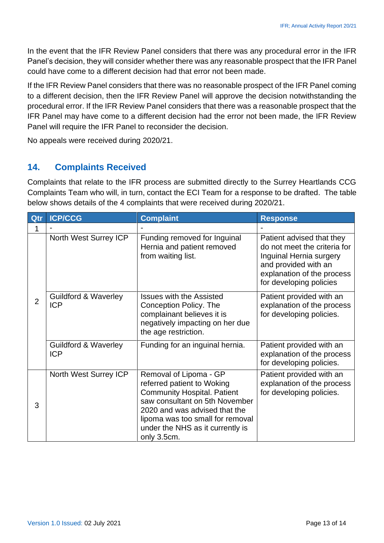In the event that the IFR Review Panel considers that there was any procedural error in the IFR Panel's decision, they will consider whether there was any reasonable prospect that the IFR Panel could have come to a different decision had that error not been made.

If the IFR Review Panel considers that there was no reasonable prospect of the IFR Panel coming to a different decision, then the IFR Review Panel will approve the decision notwithstanding the procedural error. If the IFR Review Panel considers that there was a reasonable prospect that the IFR Panel may have come to a different decision had the error not been made, the IFR Review Panel will require the IFR Panel to reconsider the decision.

No appeals were received during 2020/21.

#### <span id="page-12-0"></span>**14. Complaints Received**

Complaints that relate to the IFR process are submitted directly to the Surrey Heartlands CCG Complaints Team who will, in turn, contact the ECI Team for a response to be drafted. The table below shows details of the 4 complaints that were received during 2020/21.

| Qtr            | <b>ICP/CCG</b>                                | <b>Complaint</b>                                                                                                                                                                                                                                     | <b>Response</b>                                                                                                                                                       |
|----------------|-----------------------------------------------|------------------------------------------------------------------------------------------------------------------------------------------------------------------------------------------------------------------------------------------------------|-----------------------------------------------------------------------------------------------------------------------------------------------------------------------|
| 1              |                                               |                                                                                                                                                                                                                                                      |                                                                                                                                                                       |
| $\overline{2}$ | North West Surrey ICP                         | Funding removed for Inguinal<br>Hernia and patient removed<br>from waiting list.                                                                                                                                                                     | Patient advised that they<br>do not meet the criteria for<br>Inguinal Hernia surgery<br>and provided with an<br>explanation of the process<br>for developing policies |
|                | <b>Guildford &amp; Waverley</b><br><b>ICP</b> | <b>Issues with the Assisted</b><br>Conception Policy. The<br>complainant believes it is<br>negatively impacting on her due<br>the age restriction.                                                                                                   | Patient provided with an<br>explanation of the process<br>for developing policies.                                                                                    |
|                | <b>Guildford &amp; Waverley</b><br><b>ICP</b> | Funding for an inguinal hernia.                                                                                                                                                                                                                      | Patient provided with an<br>explanation of the process<br>for developing policies.                                                                                    |
| 3              | North West Surrey ICP                         | Removal of Lipoma - GP<br>referred patient to Woking<br><b>Community Hospital. Patient</b><br>saw consultant on 5th November<br>2020 and was advised that the<br>lipoma was too small for removal<br>under the NHS as it currently is<br>only 3.5cm. | Patient provided with an<br>explanation of the process<br>for developing policies.                                                                                    |